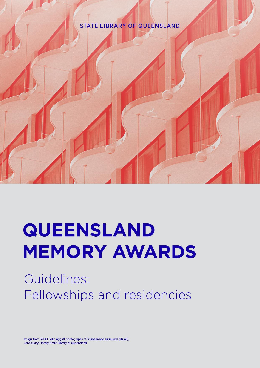# **STATE LIBRARY OF QUEENSLAND**



Guidelines: Fellowships and residencies

Image from 32061 Colin Aggett photographs of Brisbane and surrounds (detail). John Oxley Library, State Library of Queensland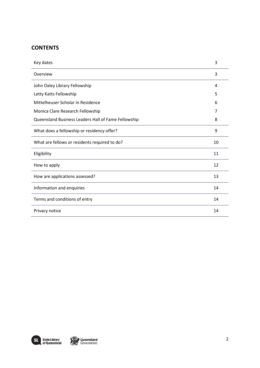# **CONTENTS**

| Key dates                                           | 3  |
|-----------------------------------------------------|----|
| Overview                                            | 3  |
| John Oxley Library Fellowship                       | 4  |
| Letty Katts Fellowship                              | 5  |
| Mittelheuser Scholar in Residence                   | 6  |
| Monica Clare Research Fellowship                    | 7  |
| Queensland Business Leaders Hall of Fame Fellowship | 8  |
| What does a fellowship or residency offer?          | 9  |
| What are fellows or residents required to do?       | 10 |
| Eligibility                                         | 11 |
| How to apply                                        | 12 |
| How are applications assessed?                      | 13 |
| Information and enquiries                           | 14 |
| Terms and conditions of entry                       | 14 |
| Privacy notice                                      | 14 |

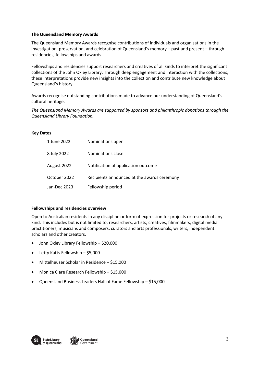## **The Queensland Memory Awards**

The Queensland Memory Awards recognise contributions of individuals and organisations in the investigation, preservation, and celebration of Queensland's memory – past and present – through residencies, fellowships and awards.

Fellowships and residencies support researchers and creatives of all kinds to interpret the significant collections of the John Oxley Library. Through deep engagement and interaction with the collections, these interpretations provide new insights into the collection and contribute new knowledge about Queensland's history.

Awards recognise outstanding contributions made to advance our understanding of Queensland's cultural heritage.

*The Queensland Memory Awards are supported by sponsors and philanthropic donations through the Queensland Library Foundation.* 

### **Key Dates**

| 1 June 2022  | Nominations open                            |
|--------------|---------------------------------------------|
| 8 July 2022  | Nominations close                           |
| August 2022  | Notification of application outcome         |
| October 2022 | Recipients announced at the awards ceremony |
| Jan-Dec 2023 | Fellowship period                           |
|              |                                             |

## **Fellowships and residencies overview**

 $\overline{1}$ 

Open to Australian residents in any discipline or form of expression for projects or research of any kind. This includes but is not limited to, researchers, artists, creatives, filmmakers, digital media practitioners, musicians and composers, curators and arts professionals, writers, independent scholars and other creators.

- John Oxley Library Fellowship \$20,000
- Letty Katts Fellowship \$5,000
- Mittelheuser Scholar in Residence \$15,000
- Monica Clare Research Fellowship \$15,000
- Queensland Business Leaders Hall of Fame Fellowship \$15,000



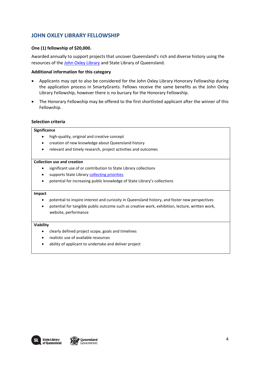# **JOHN OXLEY LIBRARY FELLOWSHIP**

## **One (1) fellowship of \$20,000.**

Awarded annually to support projects that uncover Queensland's rich and diverse history using the resources of the [John Oxley Library](https://www.slq.qld.gov.au/plan-my-visit/spaces-visit/john-oxley-library) and State Library of Queensland.

## **Additional information for this category**

- Applicants may opt to also be considered for the John Oxley Library Honorary Fellowship during the application process in SmartyGrants. Fellows receive the same benefits as the John Oxley Library Fellowship, however there is no bursary for the Honorary Fellowship.
- The Honorary Fellowship may be offered to the first shortlisted applicant after the winner of this Fellowship.

### **Selection criteria**

#### **Significance**

- high-quality, original and creative concept
- creation of new knowledge about Queensland history
- relevant and timely research, project activities and outcomes

## **Collection use and creation**

- significant use of or contribution to State Library collections
- supports State Library [collecting priorities](https://www.slq.qld.gov.au/sites/default/files/0019-408511-content-guidelines-memory-collections_0.pdf)
- potential for increasing public knowledge of State Library's collections

#### **Impact**

- potential to inspire interest and curiosity in Queensland history, and foster new perspectives
- potential for tangible public outcome such as creative work, exhibition, lecture, written work, website, performance

- clearly defined project scope, goals and timelines
- realistic use of available resources
- ability of applicant to undertake and deliver project

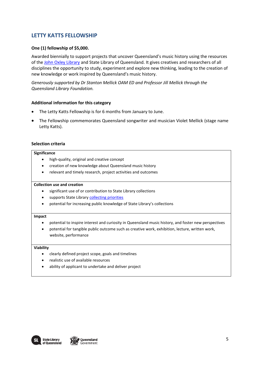# **LETTY KATTS FELLOWSHIP**

## **One (1) fellowship of \$5,000.**

Awarded biennially to support projects that uncover Queensland's music history using the resources of the [John Oxley Library](https://www.slq.qld.gov.au/plan-my-visit/spaces-visit/john-oxley-library) and State Library of Queensland. It gives creatives and researchers of all disciplines the opportunity to study, experiment and explore new thinking, leading to the creation of new knowledge or work inspired by Queensland's music history.

*Generously supported by Dr Stanton Mellick OAM ED and Professor Jill Mellick through the Queensland Library Foundation.*

### **Additional information for this category**

- The Letty Katts Fellowship is for 6 months from January to June.
- The Fellowship commemorates Queensland songwriter and musician Violet Mellick (stage name Letty Katts).

### **Selection criteria**

#### **Significance**

- high-quality, original and creative concept
- creation of new knowledge about Queensland music history
- relevant and timely research, project activities and outcomes

#### **Collection use and creation**

- significant use of or contribution to State Library collections
- supports State Library [collecting priorities](https://www.slq.qld.gov.au/sites/default/files/0019-408511-content-guidelines-memory-collections_0.pdf)
- potential for increasing public knowledge of State Library's collections

#### **Impact**

- potential to inspire interest and curiosity in Queensland music history, and foster new perspectives
- potential for tangible public outcome such as creative work, exhibition, lecture, written work, website, performance

- clearly defined project scope, goals and timelines
- realistic use of available resources
- ability of applicant to undertake and deliver project



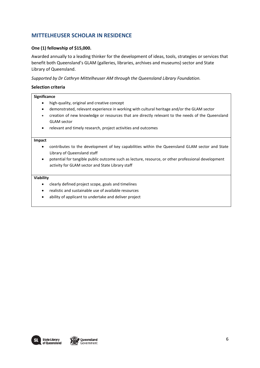# **MITTELHEUSER SCHOLAR IN RESIDENCE**

## **One (1) fellowship of \$15,000.**

Awarded annually to a leading thinker for the development of ideas, tools, strategies or services that benefit both Queensland's GLAM (galleries, libraries, archives and museums) sector and State Library of Queensland.

*Supported by Dr Cathryn Mittelheuser AM through the Queensland Library Foundation.* 

## **Selection criteria**

#### **Significance**

- high-quality, original and creative concept
- demonstrated, relevant experience in working with cultural heritage and/or the GLAM sector
- creation of new knowledge or resources that are directly relevant to the needs of the Queensland GLAM sector
- relevant and timely research, project activities and outcomes

#### **Impact**

- contributes to the development of key capabilities within the Queensland GLAM sector and State Library of Queensland staff
- potential for tangible public outcome such as lecture, resource, or other professional development activity for GLAM sector and State Library staff

- clearly defined project scope, goals and timelines
- realistic and sustainable use of available resources
- ability of applicant to undertake and deliver project

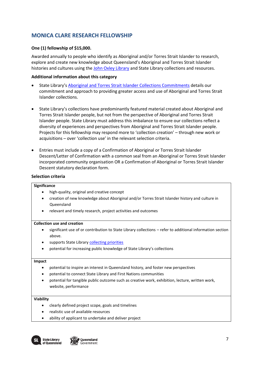# **MONICA CLARE RESEARCH FELLOWSHIP**

## **One (1) fellowship of \$15,000.**

Awarded annually to people who identify as Aboriginal and/or Torres Strait Islander to research, explore and create new knowledge about Queensland's Aboriginal and Torres Strait Islander histories and cultures using the [John Oxley Library](https://www.slq.qld.gov.au/plan-my-visit/spaces-visit/john-oxley-library) and State Library collections and resources.

## **Additional information about this category**

- State Library's [Aboriginal and Torres Strait Islander Collections Commitments](https://www.slq.qld.gov.au/sites/default/files/SLQ_CollectionsCommitment_Single%20Page_WEB.pdf) details our commitment and approach to providing greater access and use of Aboriginal and Torres Strait Islander collections.
- State Library's collections have predominantly featured material created about Aboriginal and Torres Strait Islander people, but not from the perspective of Aboriginal and Torres Strait Islander people. State Library must address this imbalance to ensure our collections reflect a diversity of experiences and perspectives from Aboriginal and Torres Strait Islander people. Projects for this fellowship may respond more to 'collection creation' – through new work or acquisitions – over 'collection use' in the relevant selection criteria.
- Entries must include a copy of a Confirmation of Aboriginal or Torres Strait Islander Descent/Letter of Confirmation with a common seal from an Aboriginal or Torres Strait Islander incorporated community organisation OR a Confirmation of Aboriginal or Torres Strait Islander Descent statutory declaration form.

## **Selection criteria**

#### **Significance**

- high-quality, original and creative concept
- creation of new knowledge about Aboriginal and/or Torres Strait Islander history and culture in Queensland
- relevant and timely research, project activities and outcomes

#### **Collection use and creation**

- significant use of or contribution to State Library collections refer to additional information section above.
- supports State Library [collecting priorities](https://www.slq.qld.gov.au/sites/default/files/0019-408511-content-guidelines-memory-collections_0.pdf)
- potential for increasing public knowledge of State Library's collections

#### **Impact**

- potential to inspire an interest in Queensland history, and foster new perspectives
- potential to connect State Library and First Nations communities
- potential for tangible public outcome such as creative work, exhibition, lecture, written work, website, performance

- clearly defined project scope, goals and timelines
- realistic use of available resources
- ability of applicant to undertake and deliver project



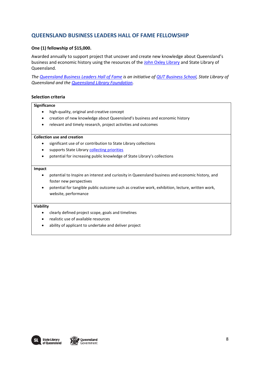# **QUEENSLAND BUSINESS LEADERS HALL OF FAME FELLOWSHIP**

## **One (1) fellowship of \$15,000.**

Awarded annually to support project that uncover and create new knowledge about Queensland's business and economic history using the resources of the [John Oxley Library](https://www.slq.qld.gov.au/plan-my-visit/spaces-visit/john-oxley-library) and State Library of Queensland.

*The [Queensland Business Leaders Hall of Fame](http://leaders.slq.qld.gov.au/) is an initiative of [QUT Business School,](https://www.qut.edu.au/business) State Library of Queensland and the [Queensland Library Foundation.](https://www.slq.qld.gov.au/foundation)*

### **Selection criteria**

#### **Significance**

- high-quality, original and creative concept
- creation of new knowledge about Queensland's business and economic history
- relevant and timely research, project activities and outcomes

#### **Collection use and creation**

- significant use of or contribution to State Library collections
- supports State Library [collecting priorities](https://www.slq.qld.gov.au/sites/default/files/0019-408511-content-guidelines-memory-collections_0.pdf)
- potential for increasing public knowledge of State Library's collections

#### **Impact**

- potential to Inspire an interest and curiosity in Queensland business and economic history, and foster new perspectives
- potential for tangible public outcome such as creative work, exhibition, lecture, written work, website, performance

- clearly defined project scope, goals and timelines
- realistic use of available resources
- ability of applicant to undertake and deliver project

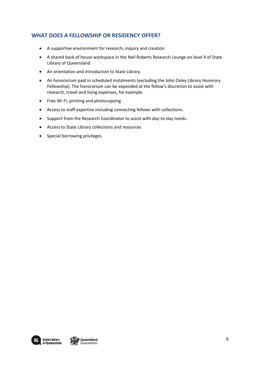# **WHAT DOES A FELLOWSHIP OR RESIDENCY OFFER?**

- A supportive environment for research, inquiry and creation
- A shared back of house workspace in the Neil Roberts Research Lounge on level 4 of State Library of Queensland
- An orientation and introduction to State Library.
- An honorarium paid in scheduled instalments (excluding the John Oxley Library Honorary Fellowship). The honorarium can be expended at the fellow's discretion to assist with research, travel and living expenses, for example.
- Free Wi-Fi, printing and photocopying
- Access to staff expertise including connecting fellows with collections.
- Support from the Research Coordinator to assist with day-to-day needs.
- Access to State Library collections and resources
- Special borrowing privileges

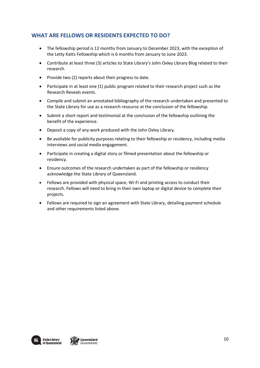# **WHAT ARE FELLOWS OR RESIDENTS EXPECTED TO DO?**

- The fellowship period is 12 months from January to December 2023, with the exception of the Letty Katts Fellowship which is 6 months from January to June 2023.
- Contribute at least three (3) articles to State Library's John Oxley Library Blog related to their research.
- Provide two (2) reports about their progress to date.
- Participate in at least one (1) public program related to their research project such as the Research Reveals events.
- Compile and submit an annotated bibliography of the research undertaken and presented to the State Library for use as a research resource at the conclusion of the fellowship.
- Submit a short report and testimonial at the conclusion of the fellowship outlining the benefit of the experience.
- Deposit a copy of any work produced with the John Oxley Library.
- Be available for publicity purposes relating to their fellowship or residency, including media interviews and social media engagement.
- Participate in creating a digital story or filmed presentation about the fellowship or residency.
- Ensure outcomes of the research undertaken as part of the fellowship or residency acknowledge the State Library of Queensland.
- Fellows are provided with physical space, Wi-Fi and printing access to conduct their research. Fellows will need to bring in their own laptop or digital device to complete their projects.
- Fellows are required to sign an agreement with State Library, detailing payment schedule and other requirements listed above.

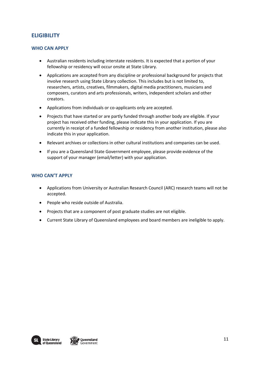# **ELIGIBILITY**

## **WHO CAN APPLY**

- Australian residents including interstate residents. It is expected that a portion of your fellowship or residency will occur onsite at State Library.
- Applications are accepted from any discipline or professional background for projects that involve research using State Library collection. This includes but is not limited to, researchers, artists, creatives, filmmakers, digital media practitioners, musicians and composers, curators and arts professionals, writers, independent scholars and other creators.
- Applications from individuals or co-applicants only are accepted.
- Projects that have started or are partly funded through another body are eligible. If your project has received other funding, please indicate this in your application. If you are currently in receipt of a funded fellowship or residency from another institution, please also indicate this in your application.
- Relevant archives or collections in other cultural institutions and companies can be used.
- If you are a Queensland State Government employee, please provide evidence of the support of your manager (email/letter) with your application.

## **WHO CAN'T APPLY**

- Applications from University or Australian Research Council (ARC) research teams will not be accepted.
- People who reside outside of Australia.
- Projects that are a component of post graduate studies are not eligible.
- Current State Library of Queensland employees and board members are ineligible to apply.

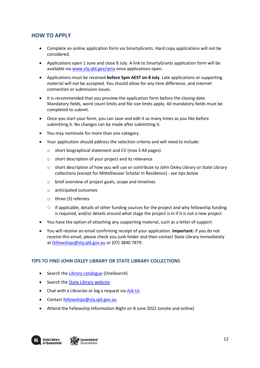# **HOW TO APPLY**

- Complete an online application form via SmartyGrants. Hard copy applications will not be considered.
- Applications open 1 June and close 8 July. A link to SmartyGrants application form will be available via [www.slq.qld.gov/qma](http://www.slq.qld.gov/qma) once applications open.
- Applications must be received **before 5pm AEST on 8 July**. Late applications or supporting material will not be accepted. You should allow for any time difference, and internet connection or submission issues.
- It is recommended that you preview the application form before the closing date. Mandatory fields, word count limits and file size limits apply. All mandatory fields must be completed to submit.
- Once you start your form, you can save and edit it as many times as you like before submitting it. No changes can be made after submitting it.
- You may nominate for more than one category.
- Your application should address the selection criteria and will need to include:
	- o short biographical statement and CV (max 3 A4 pages)
	- o short description of your project and its relevance
	- o short description of how you will use or contribute to John Oxley Library or State Library collections (except for Mittelheuser Scholar in Residence) - *see tips below*
	- o brief overview of project goals, scope and timelines
	- o anticipated outcomes
	- o three (3) referees
	- $\circ$  if applicable, details of other funding sources for the project and why fellowship funding is required, and/or details around what stage the project is in if it is not a new project
- You have the option of attaching any supporting material, such as a letter of support.
- You will receive an email confirming receipt of your application. **Important:** if you do not receive this email, please check you junk folder and then contact State Library immediately a[t fellowships@slq.qld.gov.au](mailto:fellowships@slq.qld.gov.au) or (07) 3840 7879.

## **TIPS TO FIND JOHN OXLEY LIBRARY OR STATE LIBRARY COLLECTIONS**

- Search th[e Library catalogue](http://onesearch.slq.qld.gov.au/primo-explore/search?vid=SLQ) (OneSearch)
- Search th[e State Library website](https://www.slq.qld.gov.au/)
- Chat with a Librarian or log a request vi[a Ask Us](https://www.slq.qld.gov.au/plan-my-visit/services/ask-us)
- Contact [fellowships@slq.qld.gov.au](mailto:fellowships@slq.qld.gov.au)
- Attend the Fellowship Information Night on 8 June 2022 (onsite and online)

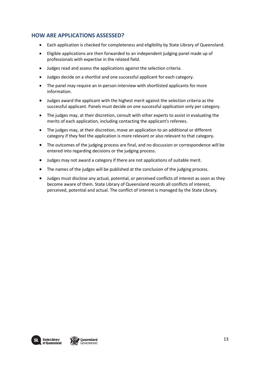# **HOW ARE APPLICATIONS ASSESSED?**

- Each application is checked for completeness and eligibility by State Library of Queensland.
- Eligible applications are then forwarded to an independent judging panel made up of professionals with expertise in the related field.
- Judges read and assess the applications against the selection criteria.
- Judges decide on a shortlist and one successful applicant for each category.
- The panel may require an in-person interview with shortlisted applicants for more information.
- Judges award the applicant with the highest merit against the selection criteria as the successful applicant. Panels must decide on one successful application only per category.
- The judges may, at their discretion, consult with other experts to assist in evaluating the merits of each application, including contacting the applicant's referees.
- The judges may, at their discretion, move an application to an additional or different category if they feel the application is more relevant or also relevant to that category.
- The outcomes of the judging process are final, and no discussion or correspondence will be entered into regarding decisions or the judging process.
- Judges may not award a category if there are not applications of suitable merit.
- The names of the judges will be published at the conclusion of the judging process.
- Judges must disclose any actual, potential, or perceived conflicts of interest as soon as they become aware of them. State Library of Queensland records all conflicts of interest, perceived, potential and actual. The conflict of interest is managed by the State Library.